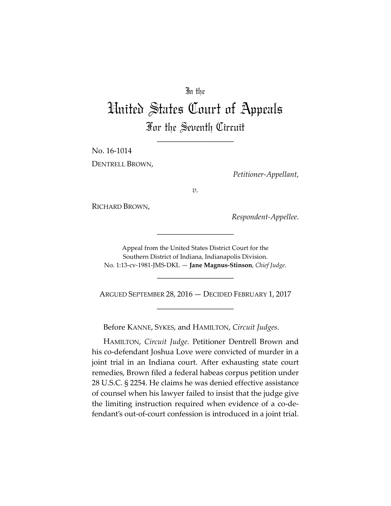## In the

# United States Court of Appeals For the Seventh Circuit

\_\_\_\_\_\_\_\_\_\_\_\_\_\_\_\_\_\_\_\_

No. 16-1014 DENTRELL BROWN,

*Petitioner-Appellant*,

*v.*

RICHARD BROWN,

*Respondent-Appellee*.

Appeal from the United States District Court for the Southern District of Indiana, Indianapolis Division. No. 1:13-cv-1981-JMS-DKL — **Jane Magnus-Stinson**, *Chief Judge*.

\_\_\_\_\_\_\_\_\_\_\_\_\_\_\_\_\_\_\_\_

\_\_\_\_\_\_\_\_\_\_\_\_\_\_\_\_\_\_\_\_

ARGUED SEPTEMBER 28, 2016 — DECIDED FEBRUARY 1, 2017 \_\_\_\_\_\_\_\_\_\_\_\_\_\_\_\_\_\_\_\_

Before KANNE, SYKES, and HAMILTON, *Circuit Judges*.

HAMILTON, *Circuit Judge*. Petitioner Dentrell Brown and his co-defendant Joshua Love were convicted of murder in a joint trial in an Indiana court. After exhausting state court remedies, Brown filed a federal habeas corpus petition under 28 U.S.C. § 2254. He claims he was denied effective assistance of counsel when his lawyer failed to insist that the judge give the limiting instruction required when evidence of a co-defendant's out-of-court confession is introduced in a joint trial.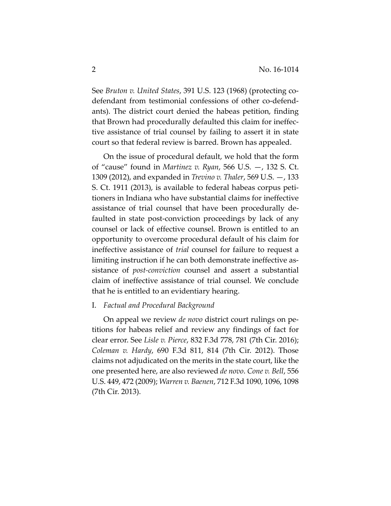See *Bruton v. United States*, 391 U.S. 123 (1968) (protecting codefendant from testimonial confessions of other co-defendants). The district court denied the habeas petition, finding that Brown had procedurally defaulted this claim for ineffective assistance of trial counsel by failing to assert it in state court so that federal review is barred. Brown has appealed.

On the issue of procedural default, we hold that the form of "cause" found in *Martinez v. Ryan*, 566 U.S. —, 132 S. Ct. 1309 (2012), and expanded in *Trevino v. Thaler*, 569 U.S. —, 133 S. Ct. 1911 (2013), is available to federal habeas corpus petitioners in Indiana who have substantial claims for ineffective assistance of trial counsel that have been procedurally defaulted in state post-conviction proceedings by lack of any counsel or lack of effective counsel. Brown is entitled to an opportunity to overcome procedural default of his claim for ineffective assistance of *trial* counsel for failure to request a limiting instruction if he can both demonstrate ineffective assistance of *post-conviction* counsel and assert a substantial claim of ineffective assistance of trial counsel. We conclude that he is entitled to an evidentiary hearing.

### I. *Factual and Procedural Background*

On appeal we review *de novo* district court rulings on petitions for habeas relief and review any findings of fact for clear error. See *Lisle v. Pierce*, 832 F.3d 778, 781 (7th Cir. 2016); *Coleman v. Hardy*, 690 F.3d 811, 814 (7th Cir. 2012). Those claims not adjudicated on the merits in the state court, like the one presented here, are also reviewed *de novo*. *Cone v. Bell*, 556 U.S. 449, 472 (2009); *Warren v. Baenen*, 712 F.3d 1090, 1096, 1098 (7th Cir. 2013).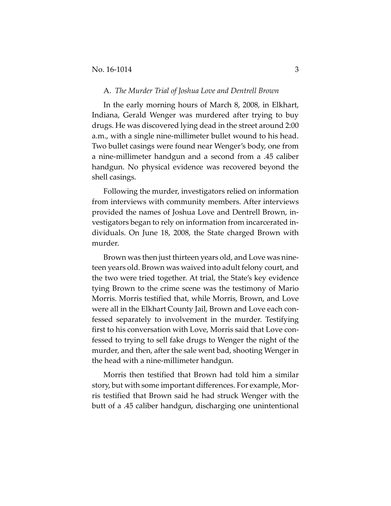#### A. *The Murder Trial of Joshua Love and Dentrell Brown*

In the early morning hours of March 8, 2008, in Elkhart, Indiana, Gerald Wenger was murdered after trying to buy drugs. He was discovered lying dead in the street around 2:00 a.m., with a single nine-millimeter bullet wound to his head. Two bullet casings were found near Wenger's body, one from a nine-millimeter handgun and a second from a .45 caliber handgun. No physical evidence was recovered beyond the shell casings.

Following the murder, investigators relied on information from interviews with community members. After interviews provided the names of Joshua Love and Dentrell Brown, investigators began to rely on information from incarcerated individuals. On June 18, 2008, the State charged Brown with murder.

Brown was then just thirteen years old, and Love was nineteen years old. Brown was waived into adult felony court, and the two were tried together. At trial, the State's key evidence tying Brown to the crime scene was the testimony of Mario Morris. Morris testified that, while Morris, Brown, and Love were all in the Elkhart County Jail, Brown and Love each confessed separately to involvement in the murder. Testifying first to his conversation with Love, Morris said that Love confessed to trying to sell fake drugs to Wenger the night of the murder, and then, after the sale went bad, shooting Wenger in the head with a nine-millimeter handgun.

Morris then testified that Brown had told him a similar story, but with some important differences. For example, Morris testified that Brown said he had struck Wenger with the butt of a .45 caliber handgun, discharging one unintentional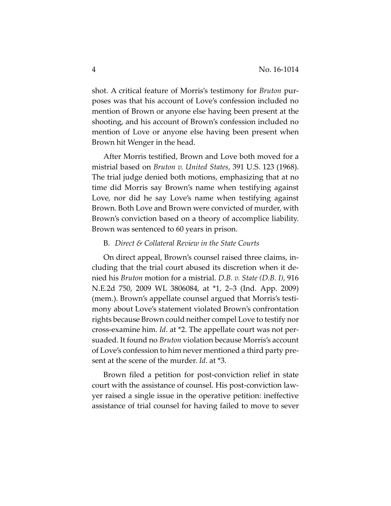shot. A critical feature of Morris's testimony for *Bruton* purposes was that his account of Love's confession included no mention of Brown or anyone else having been present at the shooting, and his account of Brown's confession included no mention of Love or anyone else having been present when Brown hit Wenger in the head.

After Morris testified, Brown and Love both moved for a mistrial based on *Bruton v. United States*, 391 U.S. 123 (1968). The trial judge denied both motions, emphasizing that at no time did Morris say Brown's name when testifying against Love, nor did he say Love's name when testifying against Brown. Both Love and Brown were convicted of murder, with Brown's conviction based on a theory of accomplice liability. Brown was sentenced to 60 years in prison.

## B. *Direct & Collateral Review in the State Courts*

On direct appeal, Brown's counsel raised three claims, including that the trial court abused its discretion when it denied his *Bruton* motion for a mistrial. *D.B. v. State (D.B. I)*, 916 N.E.2d 750, 2009 WL 3806084, at \*1, 2–3 (Ind. App. 2009) (mem.). Brown's appellate counsel argued that Morris's testimony about Love's statement violated Brown's confrontation rights because Brown could neither compel Love to testify nor cross-examine him. *Id*. at \*2. The appellate court was not persuaded. It found no *Bruton* violation because Morris's account of Love's confession to him never mentioned a third party present at the scene of the murder. *Id*. at \*3.

Brown filed a petition for post-conviction relief in state court with the assistance of counsel. His post-conviction lawyer raised a single issue in the operative petition: ineffective assistance of trial counsel for having failed to move to sever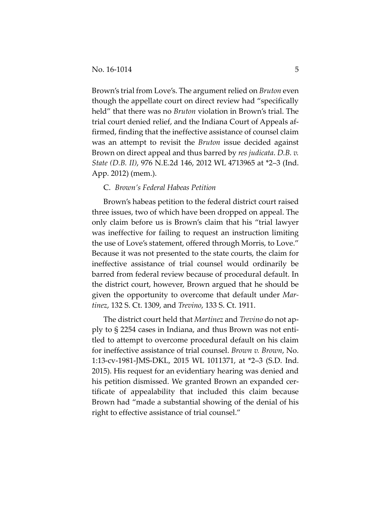Brown's trial from Love's. The argument relied on *Bruton* even though the appellate court on direct review had "specifically held" that there was no *Bruton* violation in Brown's trial. The trial court denied relief, and the Indiana Court of Appeals affirmed, finding that the ineffective assistance of counsel claim was an attempt to revisit the *Bruton* issue decided against Brown on direct appeal and thus barred by *res judicata*. *D.B. v. State (D.B. II)*, 976 N.E.2d 146, 2012 WL 4713965 at \*2–3 (Ind. App. 2012) (mem.).

## C. *Brown's Federal Habeas Petition*

Brown's habeas petition to the federal district court raised three issues, two of which have been dropped on appeal. The only claim before us is Brown's claim that his "trial lawyer was ineffective for failing to request an instruction limiting the use of Love's statement, offered through Morris, to Love." Because it was not presented to the state courts, the claim for ineffective assistance of trial counsel would ordinarily be barred from federal review because of procedural default. In the district court, however, Brown argued that he should be given the opportunity to overcome that default under *Martinez*, 132 S. Ct. 1309, and *Trevino*, 133 S. Ct. 1911.

The district court held that *Martinez* and *Trevino* do not apply to § 2254 cases in Indiana, and thus Brown was not entitled to attempt to overcome procedural default on his claim for ineffective assistance of trial counsel. *Brown v. Brown*, No. 1:13-cv-1981-JMS-DKL, 2015 WL 1011371, at \*2–3 (S.D. Ind. 2015). His request for an evidentiary hearing was denied and his petition dismissed. We granted Brown an expanded certificate of appealability that included this claim because Brown had "made a substantial showing of the denial of his right to effective assistance of trial counsel."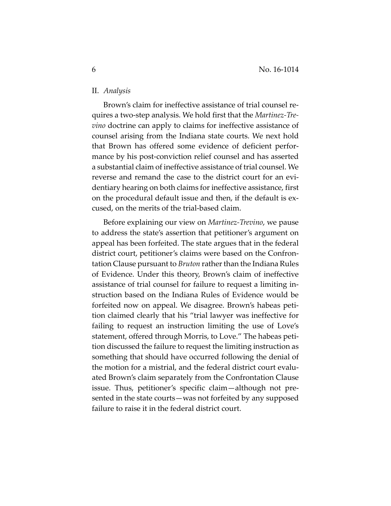## II. *Analysis*

Brown's claim for ineffective assistance of trial counsel requires a two-step analysis. We hold first that the *Martinez-Trevino* doctrine can apply to claims for ineffective assistance of counsel arising from the Indiana state courts. We next hold that Brown has offered some evidence of deficient performance by his post-conviction relief counsel and has asserted a substantial claim of ineffective assistance of trial counsel. We reverse and remand the case to the district court for an evidentiary hearing on both claims for ineffective assistance, first on the procedural default issue and then, if the default is excused, on the merits of the trial-based claim.

Before explaining our view on *Martinez-Trevino*, we pause to address the state's assertion that petitioner's argument on appeal has been forfeited. The state argues that in the federal district court, petitioner's claims were based on the Confrontation Clause pursuant to *Bruton* rather than the Indiana Rules of Evidence. Under this theory, Brown's claim of ineffective assistance of trial counsel for failure to request a limiting instruction based on the Indiana Rules of Evidence would be forfeited now on appeal. We disagree. Brown's habeas petition claimed clearly that his "trial lawyer was ineffective for failing to request an instruction limiting the use of Love's statement, offered through Morris, to Love." The habeas petition discussed the failure to request the limiting instruction as something that should have occurred following the denial of the motion for a mistrial, and the federal district court evaluated Brown's claim separately from the Confrontation Clause issue. Thus, petitioner's specific claim—although not presented in the state courts—was not forfeited by any supposed failure to raise it in the federal district court.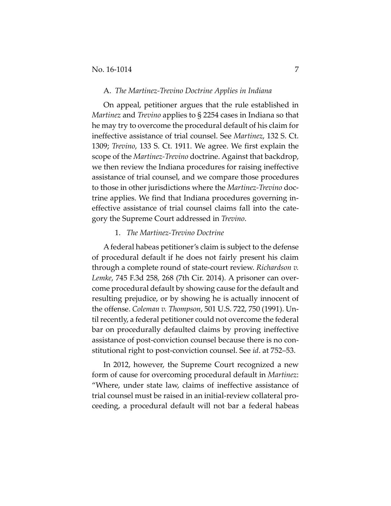#### A. *The Martinez-Trevino Doctrine Applies in Indiana*

On appeal, petitioner argues that the rule established in *Martinez* and *Trevino* applies to § 2254 cases in Indiana so that he may try to overcome the procedural default of his claim for ineffective assistance of trial counsel. See *Martinez*, 132 S. Ct. 1309; *Trevino*, 133 S. Ct. 1911. We agree. We first explain the scope of the *Martinez-Trevino* doctrine. Against that backdrop, we then review the Indiana procedures for raising ineffective assistance of trial counsel, and we compare those procedures to those in other jurisdictions where the *Martinez-Trevino* doctrine applies. We find that Indiana procedures governing ineffective assistance of trial counsel claims fall into the category the Supreme Court addressed in *Trevino*.

## 1. *The Martinez-Trevino Doctrine*

A federal habeas petitioner's claim is subject to the defense of procedural default if he does not fairly present his claim through a complete round of state-court review. *Richardson v. Lemke*, 745 F.3d 258, 268 (7th Cir. 2014). A prisoner can overcome procedural default by showing cause for the default and resulting prejudice, or by showing he is actually innocent of the offense. *Coleman v. Thompson*, 501 U.S. 722, 750 (1991). Until recently, a federal petitioner could not overcome the federal bar on procedurally defaulted claims by proving ineffective assistance of post-conviction counsel because there is no constitutional right to post-conviction counsel. See *id*. at 752–53.

In 2012, however, the Supreme Court recognized a new form of cause for overcoming procedural default in *Martinez*: "Where, under state law, claims of ineffective assistance of trial counsel must be raised in an initial-review collateral proceeding, a procedural default will not bar a federal habeas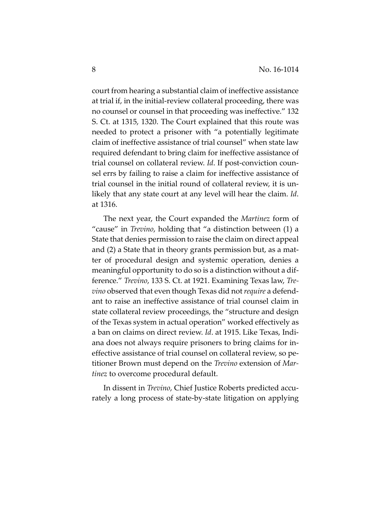court from hearing a substantial claim of ineffective assistance at trial if, in the initial-review collateral proceeding, there was no counsel or counsel in that proceeding was ineffective." 132 S. Ct. at 1315, 1320. The Court explained that this route was needed to protect a prisoner with "a potentially legitimate claim of ineffective assistance of trial counsel" when state law required defendant to bring claim for ineffective assistance of trial counsel on collateral review. *Id*. If post-conviction counsel errs by failing to raise a claim for ineffective assistance of trial counsel in the initial round of collateral review, it is unlikely that any state court at any level will hear the claim. *Id*. at 1316.

The next year, the Court expanded the *Martinez* form of "cause" in *Trevino*, holding that "a distinction between (1) a State that denies permission to raise the claim on direct appeal and (2) a State that in theory grants permission but, as a matter of procedural design and systemic operation, denies a meaningful opportunity to do so is a distinction without a difference." *Trevino*, 133 S. Ct. at 1921. Examining Texas law, *Trevino* observed that even though Texas did not *require* a defendant to raise an ineffective assistance of trial counsel claim in state collateral review proceedings, the "structure and design of the Texas system in actual operation" worked effectively as a ban on claims on direct review. *Id*. at 1915. Like Texas, Indiana does not always require prisoners to bring claims for ineffective assistance of trial counsel on collateral review, so petitioner Brown must depend on the *Trevino* extension of *Martinez* to overcome procedural default.

In dissent in *Trevino*, Chief Justice Roberts predicted accurately a long process of state-by-state litigation on applying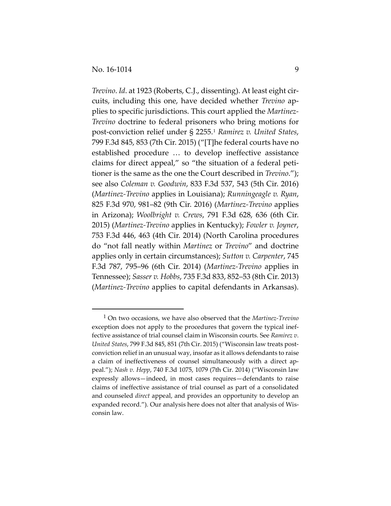$\overline{a}$ 

*Trevino*. *Id*. at 1923 (Roberts, C.J., dissenting). At least eight circuits, including this one, have decided whether *Trevino* applies to specific jurisdictions. This court applied the *Martinez-Trevino* doctrine to federal prisoners who bring motions for post-conviction relief under § 2255.[1](#page-8-0) *Ramirez v. United States*, 799 F.3d 845, 853 (7th Cir. 2015) ("[T]he federal courts have no established procedure … to develop ineffective assistance claims for direct appeal," so "the situation of a federal petitioner is the same as the one the Court described in *Trevino*."); see also *Coleman v. Goodwin*, 833 F.3d 537, 543 (5th Cir. 2016) (*Martinez-Trevino* applies in Louisiana); *Runningeagle v. Ryan*, 825 F.3d 970, 981–82 (9th Cir. 2016) (*Martinez-Trevino* applies in Arizona); *Woolbright v. Crews*, 791 F.3d 628, 636 (6th Cir. 2015) (*Martinez-Trevino* applies in Kentucky); *Fowler v. Joyner*, 753 F.3d 446, 463 (4th Cir. 2014) (North Carolina procedures do "not fall neatly within *Martinez* or *Trevino*" and doctrine applies only in certain circumstances); *Sutton v. Carpenter*, 745 F.3d 787, 795–96 (6th Cir. 2014) (*Martinez-Trevino* applies in Tennessee); *Sasser v. Hobbs*, 735 F.3d 833, 852–53 (8th Cir. 2013) (*Martinez-Trevino* applies to capital defendants in Arkansas).

<span id="page-8-0"></span><sup>1</sup> On two occasions, we have also observed that the *Martinez-Trevino* exception does not apply to the procedures that govern the typical ineffective assistance of trial counsel claim in Wisconsin courts. See *Ramirez v. United States*, 799 F.3d 845, 851 (7th Cir. 2015) ("Wisconsin law treats postconviction relief in an unusual way, insofar as it allows defendants to raise a claim of ineffectiveness of counsel simultaneously with a direct appeal."); *Nash v. Hepp*, 740 F.3d 1075, 1079 (7th Cir. 2014) ("Wisconsin law expressly allows—indeed, in most cases requires—defendants to raise claims of ineffective assistance of trial counsel as part of a consolidated and counseled *direct* appeal, and provides an opportunity to develop an expanded record."). Our analysis here does not alter that analysis of Wisconsin law.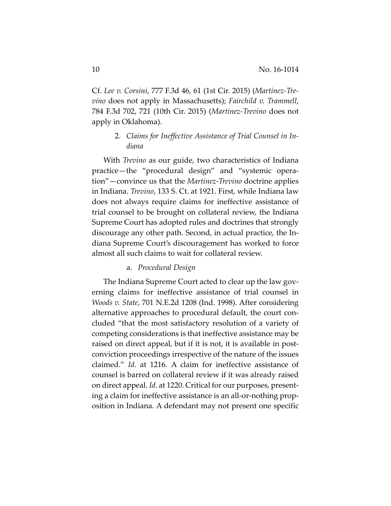Cf. *Lee v. Corsini*, 777 F.3d 46, 61 (1st Cir. 2015) (*Martinez-Trevino* does not apply in Massachusetts); *Fairchild v. Trammell*, 784 F.3d 702, 721 (10th Cir. 2015) (*Martinez-Trevino* does not apply in Oklahoma).

## 2. *Claims for Ineffective Assistance of Trial Counsel in Indiana*

With *Trevino* as our guide, two characteristics of Indiana practice—the "procedural design" and "systemic operation"—convince us that the *Martinez-Trevino* doctrine applies in Indiana. *Trevino*, 133 S. Ct. at 1921. First, while Indiana law does not always require claims for ineffective assistance of trial counsel to be brought on collateral review, the Indiana Supreme Court has adopted rules and doctrines that strongly discourage any other path. Second, in actual practice, the Indiana Supreme Court's discouragement has worked to force almost all such claims to wait for collateral review.

#### a. *Procedural Design*

The Indiana Supreme Court acted to clear up the law governing claims for ineffective assistance of trial counsel in *Woods v. State*, 701 N.E.2d 1208 (Ind. 1998). After considering alternative approaches to procedural default, the court concluded "that the most satisfactory resolution of a variety of competing considerations is that ineffective assistance may be raised on direct appeal, but if it is not, it is available in postconviction proceedings irrespective of the nature of the issues claimed." *Id*. at 1216. A claim for ineffective assistance of counsel is barred on collateral review if it was already raised on direct appeal. *Id*. at 1220. Critical for our purposes, presenting a claim for ineffective assistance is an all-or-nothing proposition in Indiana. A defendant may not present one specific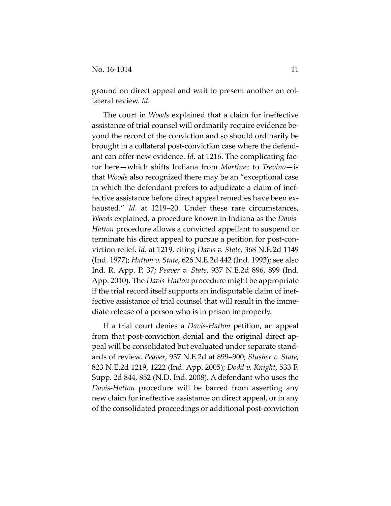ground on direct appeal and wait to present another on collateral review. *Id*.

The court in *Woods* explained that a claim for ineffective assistance of trial counsel will ordinarily require evidence beyond the record of the conviction and so should ordinarily be brought in a collateral post-conviction case where the defendant can offer new evidence. *Id*. at 1216. The complicating factor here—which shifts Indiana from *Martinez* to *Trevino*—is that *Woods* also recognized there may be an "exceptional case in which the defendant prefers to adjudicate a claim of ineffective assistance before direct appeal remedies have been exhausted." *Id*. at 1219–20. Under these rare circumstances, *Woods* explained, a procedure known in Indiana as the *Davis-Hatton* procedure allows a convicted appellant to suspend or terminate his direct appeal to pursue a petition for post-conviction relief. *Id*. at 1219, citing *Davis v. State*, 368 N.E.2d 1149 (Ind. 1977); *Hatton v. State*, 626 N.E.2d 442 (Ind. 1993); see also Ind. R. App. P. 37; *Peaver v. State*, 937 N.E.2d 896, 899 (Ind. App. 2010). The *Davis-Hatton* procedure might be appropriate if the trial record itself supports an indisputable claim of ineffective assistance of trial counsel that will result in the immediate release of a person who is in prison improperly.

If a trial court denies a *Davis-Hatton* petition, an appeal from that post-conviction denial and the original direct appeal will be consolidated but evaluated under separate standards of review. *Peaver*, 937 N.E.2d at 899–900; *Slusher v. State*, 823 N.E.2d 1219, 1222 (Ind. App. 2005); *Dodd v. Knight*, 533 F. Supp. 2d 844, 852 (N.D. Ind. 2008). A defendant who uses the *Davis-Hatton* procedure will be barred from asserting any new claim for ineffective assistance on direct appeal, or in any of the consolidated proceedings or additional post-conviction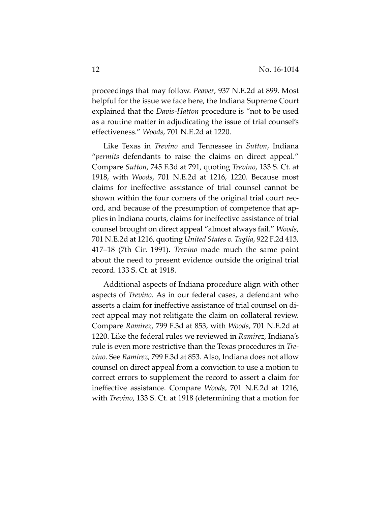proceedings that may follow. *Peaver*, 937 N.E.2d at 899. Most helpful for the issue we face here, the Indiana Supreme Court explained that the *Davis-Hatton* procedure is "not to be used as a routine matter in adjudicating the issue of trial counsel's effectiveness." *Woods*, 701 N.E.2d at 1220.

Like Texas in *Trevino* and Tennessee in *Sutton*, Indiana "*permits* defendants to raise the claims on direct appeal." Compare *Sutton*, 745 F.3d at 791, quoting *Trevino*, 133 S. Ct. at 1918, with *Woods*, 701 N.E.2d at 1216, 1220. Because most claims for ineffective assistance of trial counsel cannot be shown within the four corners of the original trial court record, and because of the presumption of competence that applies in Indiana courts, claims for ineffective assistance of trial counsel brought on direct appeal "almost always fail." *Woods*, 701 N.E.2d at 1216, quoting *United States v. Taglia*, 922 F.2d 413, 417–18 (7th Cir. 1991). *Trevino* made much the same point about the need to present evidence outside the original trial record. 133 S. Ct. at 1918.

Additional aspects of Indiana procedure align with other aspects of *Trevino*. As in our federal cases, a defendant who asserts a claim for ineffective assistance of trial counsel on direct appeal may not relitigate the claim on collateral review. Compare *Ramirez*, 799 F.3d at 853, with *Woods*, 701 N.E.2d at 1220. Like the federal rules we reviewed in *Ramirez*, Indiana's rule is even more restrictive than the Texas procedures in *Trevino*. See *Ramirez*, 799 F.3d at 853. Also, Indiana does not allow counsel on direct appeal from a conviction to use a motion to correct errors to supplement the record to assert a claim for ineffective assistance. Compare *Woods*, 701 N.E.2d at 1216, with *Trevino*, 133 S. Ct. at 1918 (determining that a motion for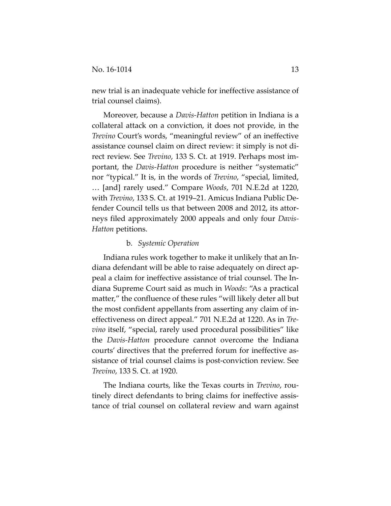new trial is an inadequate vehicle for ineffective assistance of trial counsel claims).

Moreover, because a *Davis-Hatton* petition in Indiana is a collateral attack on a conviction, it does not provide, in the *Trevino* Court's words, "meaningful review" of an ineffective assistance counsel claim on direct review: it simply is not direct review. See *Trevino*, 133 S. Ct. at 1919. Perhaps most important, the *Davis-Hatton* procedure is neither "systematic" nor "typical." It is, in the words of *Trevino*, "special, limited, … [and] rarely used." Compare *Woods*, 701 N.E.2d at 1220, with *Trevino*, 133 S. Ct. at 1919–21. Amicus Indiana Public Defender Council tells us that between 2008 and 2012, its attorneys filed approximately 2000 appeals and only four *Davis-Hatton* petitions.

## b. *Systemic Operation*

Indiana rules work together to make it unlikely that an Indiana defendant will be able to raise adequately on direct appeal a claim for ineffective assistance of trial counsel. The Indiana Supreme Court said as much in *Woods*: "As a practical matter," the confluence of these rules "will likely deter all but the most confident appellants from asserting any claim of ineffectiveness on direct appeal." 701 N.E.2d at 1220. As in *Trevino* itself, "special, rarely used procedural possibilities" like the *Davis-Hatton* procedure cannot overcome the Indiana courts' directives that the preferred forum for ineffective assistance of trial counsel claims is post-conviction review. See *Trevino*, 133 S. Ct. at 1920.

The Indiana courts, like the Texas courts in *Trevino*, routinely direct defendants to bring claims for ineffective assistance of trial counsel on collateral review and warn against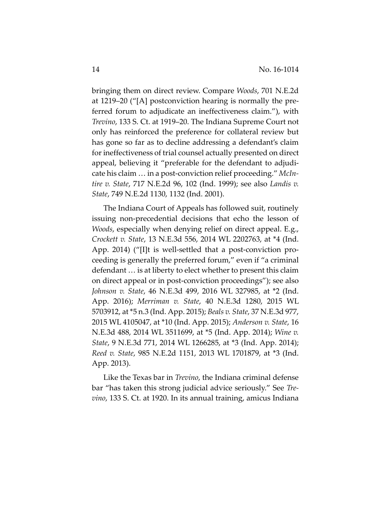bringing them on direct review. Compare *Woods*, 701 N.E.2d at 1219–20 ("[A] postconviction hearing is normally the preferred forum to adjudicate an ineffectiveness claim."), with *Trevino*, 133 S. Ct. at 1919–20. The Indiana Supreme Court not only has reinforced the preference for collateral review but has gone so far as to decline addressing a defendant's claim for ineffectiveness of trial counsel actually presented on direct appeal, believing it "preferable for the defendant to adjudicate his claim … in a post-conviction relief proceeding." *McIntire v. State*, 717 N.E.2d 96, 102 (Ind. 1999); see also *Landis v. State*, 749 N.E.2d 1130, 1132 (Ind. 2001).

The Indiana Court of Appeals has followed suit, routinely issuing non-precedential decisions that echo the lesson of *Woods*, especially when denying relief on direct appeal. E.g., *Crockett v. State*, 13 N.E.3d 556, 2014 WL 2202763, at \*4 (Ind. App. 2014) ("[I]t is well-settled that a post-conviction proceeding is generally the preferred forum," even if "a criminal defendant … is at liberty to elect whether to present this claim on direct appeal or in post-conviction proceedings"); see also *Johnson v. State*, 46 N.E.3d 499, 2016 WL 327985, at \*2 (Ind. App. 2016); *Merriman v. State*, 40 N.E.3d 1280, 2015 WL 5703912, at \*5 n.3 (Ind. App. 2015); *Beals v. State*, 37 N.E.3d 977, 2015 WL 4105047, at \*10 (Ind. App. 2015); *Anderson v. State*, 16 N.E.3d 488, 2014 WL 3511699, at \*5 (Ind. App. 2014); *Wine v. State*, 9 N.E.3d 771, 2014 WL 1266285, at \*3 (Ind. App. 2014); *Reed v. State*, 985 N.E.2d 1151, 2013 WL 1701879, at \*3 (Ind. App. 2013).

Like the Texas bar in *Trevino*, the Indiana criminal defense bar "has taken this strong judicial advice seriously." See *Trevino*, 133 S. Ct. at 1920. In its annual training, amicus Indiana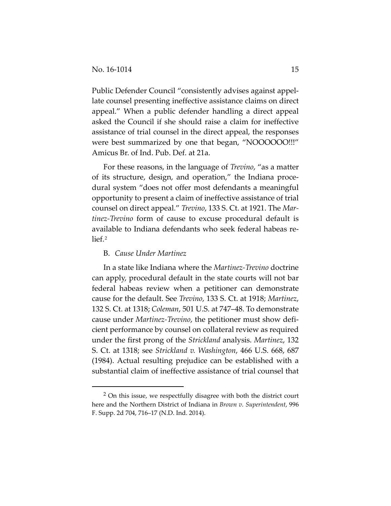Public Defender Council "consistently advises against appellate counsel presenting ineffective assistance claims on direct appeal." When a public defender handling a direct appeal asked the Council if she should raise a claim for ineffective assistance of trial counsel in the direct appeal, the responses were best summarized by one that began, "NOOOOOO!!!" Amicus Br. of Ind. Pub. Def. at 21a.

For these reasons, in the language of *Trevino*, "as a matter of its structure, design, and operation," the Indiana procedural system "does not offer most defendants a meaningful opportunity to present a claim of ineffective assistance of trial counsel on direct appeal." *Trevino*, 133 S. Ct. at 1921. The *Martinez-Trevino* form of cause to excuse procedural default is available to Indiana defendants who seek federal habeas relief.[2](#page-14-0)

## B. *Cause Under Martinez*

In a state like Indiana where the *Martinez-Trevino* doctrine can apply, procedural default in the state courts will not bar federal habeas review when a petitioner can demonstrate cause for the default. See *Trevino*, 133 S. Ct. at 1918; *Martinez*, 132 S. Ct. at 1318; *Coleman*, 501 U.S. at 747–48. To demonstrate cause under *Martinez-Trevino*, the petitioner must show deficient performance by counsel on collateral review as required under the first prong of the *Strickland* analysis. *Martinez*, 132 S. Ct. at 1318; see *Strickland v. Washington*, 466 U.S. 668, 687 (1984). Actual resulting prejudice can be established with a substantial claim of ineffective assistance of trial counsel that

<span id="page-14-0"></span> <sup>2</sup> On this issue, we respectfully disagree with both the district court here and the Northern District of Indiana in *Brown v. Superintendent*, 996 F. Supp. 2d 704, 716–17 (N.D. Ind. 2014).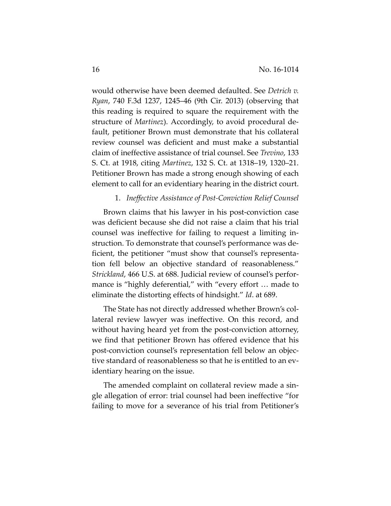would otherwise have been deemed defaulted. See *Detrich v. Ryan*, 740 F.3d 1237, 1245–46 (9th Cir. 2013) (observing that this reading is required to square the requirement with the structure of *Martinez*). Accordingly, to avoid procedural default, petitioner Brown must demonstrate that his collateral review counsel was deficient and must make a substantial claim of ineffective assistance of trial counsel. See *Trevino*, 133 S. Ct. at 1918, citing *Martinez*, 132 S. Ct. at 1318–19, 1320–21. Petitioner Brown has made a strong enough showing of each element to call for an evidentiary hearing in the district court.

## 1. *Ineffective Assistance of Post-Conviction Relief Counsel*

Brown claims that his lawyer in his post-conviction case was deficient because she did not raise a claim that his trial counsel was ineffective for failing to request a limiting instruction. To demonstrate that counsel's performance was deficient, the petitioner "must show that counsel's representation fell below an objective standard of reasonableness." *Strickland*, 466 U.S. at 688. Judicial review of counsel's performance is "highly deferential," with "every effort … made to eliminate the distorting effects of hindsight." *Id*. at 689.

The State has not directly addressed whether Brown's collateral review lawyer was ineffective. On this record, and without having heard yet from the post-conviction attorney, we find that petitioner Brown has offered evidence that his post-conviction counsel's representation fell below an objective standard of reasonableness so that he is entitled to an evidentiary hearing on the issue.

The amended complaint on collateral review made a single allegation of error: trial counsel had been ineffective "for failing to move for a severance of his trial from Petitioner's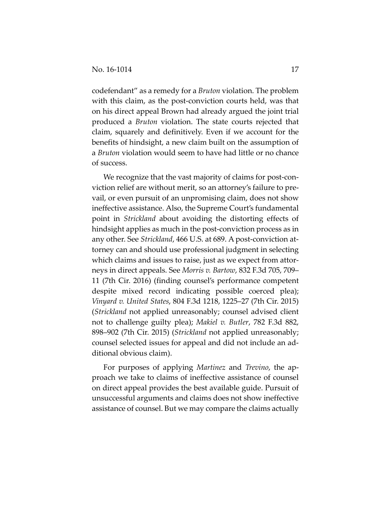codefendant" as a remedy for a *Bruton* violation. The problem with this claim, as the post-conviction courts held, was that on his direct appeal Brown had already argued the joint trial produced a *Bruton* violation. The state courts rejected that claim, squarely and definitively. Even if we account for the benefits of hindsight, a new claim built on the assumption of a *Bruton* violation would seem to have had little or no chance of success.

We recognize that the vast majority of claims for post-conviction relief are without merit, so an attorney's failure to prevail, or even pursuit of an unpromising claim, does not show ineffective assistance. Also, the Supreme Court's fundamental point in *Strickland* about avoiding the distorting effects of hindsight applies as much in the post-conviction process as in any other. See *Strickland*, 466 U.S. at 689. A post-conviction attorney can and should use professional judgment in selecting which claims and issues to raise, just as we expect from attorneys in direct appeals. See *Morris v. Bartow*, 832 F.3d 705, 709– 11 (7th Cir. 2016) (finding counsel's performance competent despite mixed record indicating possible coerced plea); *Vinyard v. United States*, 804 F.3d 1218, 1225–27 (7th Cir. 2015) (*Strickland* not applied unreasonably; counsel advised client not to challenge guilty plea); *Makiel v. Butler*, 782 F.3d 882, 898–902 (7th Cir. 2015) (*Strickland* not applied unreasonably; counsel selected issues for appeal and did not include an additional obvious claim).

For purposes of applying *Martinez* and *Trevino*, the approach we take to claims of ineffective assistance of counsel on direct appeal provides the best available guide. Pursuit of unsuccessful arguments and claims does not show ineffective assistance of counsel. But we may compare the claims actually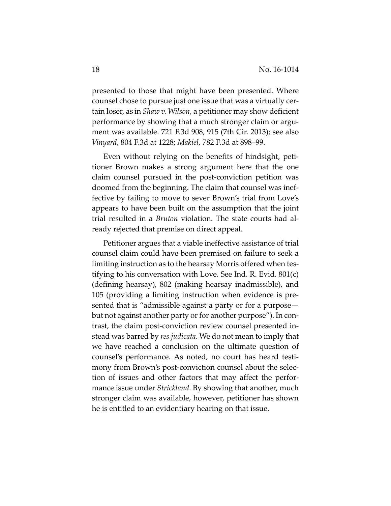presented to those that might have been presented. Where counsel chose to pursue just one issue that was a virtually certain loser, as in *Shaw v. Wilson*, a petitioner may show deficient performance by showing that a much stronger claim or argument was available. 721 F.3d 908, 915 (7th Cir. 2013); see also *Vinyard*, 804 F.3d at 1228; *Makiel*, 782 F.3d at 898–99.

Even without relying on the benefits of hindsight, petitioner Brown makes a strong argument here that the one claim counsel pursued in the post-conviction petition was doomed from the beginning. The claim that counsel was ineffective by failing to move to sever Brown's trial from Love's appears to have been built on the assumption that the joint trial resulted in a *Bruton* violation. The state courts had already rejected that premise on direct appeal.

Petitioner argues that a viable ineffective assistance of trial counsel claim could have been premised on failure to seek a limiting instruction as to the hearsay Morris offered when testifying to his conversation with Love. See Ind. R. Evid. 801(c) (defining hearsay), 802 (making hearsay inadmissible), and 105 (providing a limiting instruction when evidence is presented that is "admissible against a party or for a purpose but not against another party or for another purpose"). In contrast, the claim post-conviction review counsel presented instead was barred by *res judicata*. We do not mean to imply that we have reached a conclusion on the ultimate question of counsel's performance. As noted, no court has heard testimony from Brown's post-conviction counsel about the selection of issues and other factors that may affect the performance issue under *Strickland*. By showing that another, much stronger claim was available, however, petitioner has shown he is entitled to an evidentiary hearing on that issue.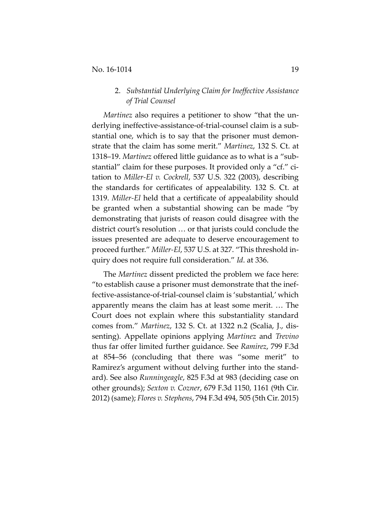## 2. *Substantial Underlying Claim for Ineffective Assistance of Trial Counsel*

*Martinez* also requires a petitioner to show "that the underlying ineffective-assistance-of-trial-counsel claim is a substantial one, which is to say that the prisoner must demonstrate that the claim has some merit." *Martinez*, 132 S. Ct. at 1318–19. *Martinez* offered little guidance as to what is a "substantial" claim for these purposes. It provided only a "cf." citation to *Miller-El v. Cockrell*, 537 U.S. 322 (2003), describing the standards for certificates of appealability. 132 S. Ct. at 1319. *Miller-El* held that a certificate of appealability should be granted when a substantial showing can be made "by demonstrating that jurists of reason could disagree with the district court's resolution … or that jurists could conclude the issues presented are adequate to deserve encouragement to proceed further." *Miller-El*, 537 U.S. at 327. "This threshold inquiry does not require full consideration." *Id*. at 336.

The *Martinez* dissent predicted the problem we face here: "to establish cause a prisoner must demonstrate that the ineffective-assistance-of-trial-counsel claim is 'substantial,' which apparently means the claim has at least some merit. … The Court does not explain where this substantiality standard comes from." *Martinez*, 132 S. Ct. at 1322 n.2 (Scalia, J., dissenting). Appellate opinions applying *Martinez* and *Trevino* thus far offer limited further guidance. See *Ramirez*, 799 F.3d at 854–56 (concluding that there was "some merit" to Ramirez's argument without delving further into the standard). See also *Runningeagle*, 825 F.3d at 983 (deciding case on other grounds); *Sexton v. Cozner*, 679 F.3d 1150, 1161 (9th Cir. 2012) (same); *Flores v. Stephens*, 794 F.3d 494, 505 (5th Cir. 2015)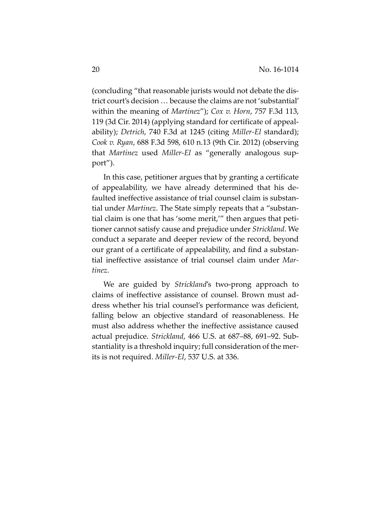(concluding "that reasonable jurists would not debate the district court's decision … because the claims are not 'substantial' within the meaning of *Martinez*"); *Cox v. Horn*, 757 F.3d 113, 119 (3d Cir. 2014) (applying standard for certificate of appealability); *Detrich*, 740 F.3d at 1245 (citing *Miller-El* standard); *Cook v. Ryan*, 688 F.3d 598, 610 n.13 (9th Cir. 2012) (observing that *Martinez* used *Miller-El* as "generally analogous support").

In this case, petitioner argues that by granting a certificate of appealability, we have already determined that his defaulted ineffective assistance of trial counsel claim is substantial under *Martinez*. The State simply repeats that a "substantial claim is one that has 'some merit,'" then argues that petitioner cannot satisfy cause and prejudice under *Strickland*. We conduct a separate and deeper review of the record, beyond our grant of a certificate of appealability, and find a substantial ineffective assistance of trial counsel claim under *Martinez*.

We are guided by *Strickland*'s two-prong approach to claims of ineffective assistance of counsel. Brown must address whether his trial counsel's performance was deficient, falling below an objective standard of reasonableness. He must also address whether the ineffective assistance caused actual prejudice. *Strickland*, 466 U.S. at 687–88, 691–92. Substantiality is a threshold inquiry; full consideration of the merits is not required. *Miller-El*, 537 U.S. at 336.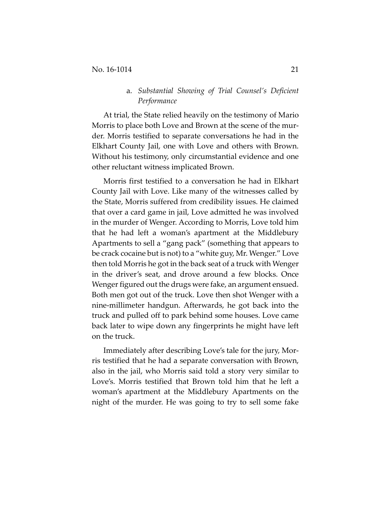## a. *Substantial Showing of Trial Counsel's Deficient Performance*

At trial, the State relied heavily on the testimony of Mario Morris to place both Love and Brown at the scene of the murder. Morris testified to separate conversations he had in the Elkhart County Jail, one with Love and others with Brown. Without his testimony, only circumstantial evidence and one other reluctant witness implicated Brown.

Morris first testified to a conversation he had in Elkhart County Jail with Love. Like many of the witnesses called by the State, Morris suffered from credibility issues. He claimed that over a card game in jail, Love admitted he was involved in the murder of Wenger. According to Morris, Love told him that he had left a woman's apartment at the Middlebury Apartments to sell a "gang pack" (something that appears to be crack cocaine but is not) to a "white guy, Mr. Wenger." Love then told Morris he got in the back seat of a truck with Wenger in the driver's seat, and drove around a few blocks. Once Wenger figured out the drugs were fake, an argument ensued. Both men got out of the truck. Love then shot Wenger with a nine-millimeter handgun. Afterwards, he got back into the truck and pulled off to park behind some houses. Love came back later to wipe down any fingerprints he might have left on the truck.

Immediately after describing Love's tale for the jury, Morris testified that he had a separate conversation with Brown, also in the jail, who Morris said told a story very similar to Love's. Morris testified that Brown told him that he left a woman's apartment at the Middlebury Apartments on the night of the murder. He was going to try to sell some fake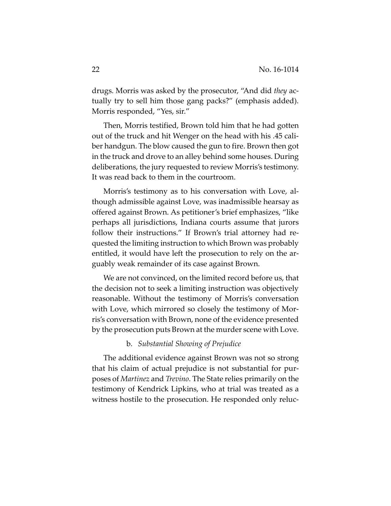drugs. Morris was asked by the prosecutor, "And did *they* actually try to sell him those gang packs?" (emphasis added). Morris responded, "Yes, sir."

Then, Morris testified, Brown told him that he had gotten out of the truck and hit Wenger on the head with his .45 caliber handgun. The blow caused the gun to fire. Brown then got in the truck and drove to an alley behind some houses. During deliberations, the jury requested to review Morris's testimony. It was read back to them in the courtroom.

Morris's testimony as to his conversation with Love, although admissible against Love, was inadmissible hearsay as offered against Brown. As petitioner's brief emphasizes, "like perhaps all jurisdictions, Indiana courts assume that jurors follow their instructions." If Brown's trial attorney had requested the limiting instruction to which Brown was probably entitled, it would have left the prosecution to rely on the arguably weak remainder of its case against Brown.

We are not convinced, on the limited record before us, that the decision not to seek a limiting instruction was objectively reasonable. Without the testimony of Morris's conversation with Love, which mirrored so closely the testimony of Morris's conversation with Brown, none of the evidence presented by the prosecution puts Brown at the murder scene with Love.

## b. *Substantial Showing of Prejudice*

The additional evidence against Brown was not so strong that his claim of actual prejudice is not substantial for purposes of *Martinez* and *Trevino*. The State relies primarily on the testimony of Kendrick Lipkins, who at trial was treated as a witness hostile to the prosecution. He responded only reluc-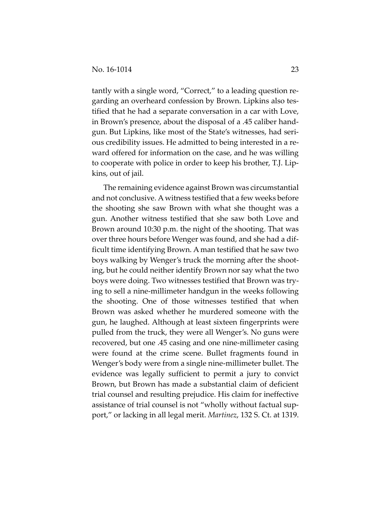tantly with a single word, "Correct," to a leading question regarding an overheard confession by Brown. Lipkins also testified that he had a separate conversation in a car with Love, in Brown's presence, about the disposal of a .45 caliber handgun. But Lipkins, like most of the State's witnesses, had serious credibility issues. He admitted to being interested in a reward offered for information on the case, and he was willing to cooperate with police in order to keep his brother, T.J. Lipkins, out of jail.

The remaining evidence against Brown was circumstantial and not conclusive. A witness testified that a few weeks before the shooting she saw Brown with what she thought was a gun. Another witness testified that she saw both Love and Brown around 10:30 p.m. the night of the shooting. That was over three hours before Wenger was found, and she had a difficult time identifying Brown. A man testified that he saw two boys walking by Wenger's truck the morning after the shooting, but he could neither identify Brown nor say what the two boys were doing. Two witnesses testified that Brown was trying to sell a nine-millimeter handgun in the weeks following the shooting. One of those witnesses testified that when Brown was asked whether he murdered someone with the gun, he laughed. Although at least sixteen fingerprints were pulled from the truck, they were all Wenger's. No guns were recovered, but one .45 casing and one nine-millimeter casing were found at the crime scene. Bullet fragments found in Wenger's body were from a single nine-millimeter bullet. The evidence was legally sufficient to permit a jury to convict Brown, but Brown has made a substantial claim of deficient trial counsel and resulting prejudice. His claim for ineffective assistance of trial counsel is not "wholly without factual support," or lacking in all legal merit. *Martinez*, 132 S. Ct. at 1319.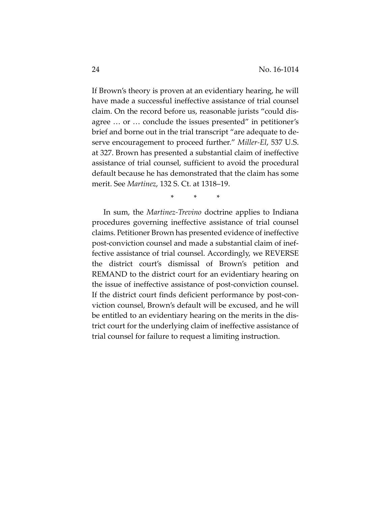If Brown's theory is proven at an evidentiary hearing, he will have made a successful ineffective assistance of trial counsel claim. On the record before us, reasonable jurists "could disagree … or … conclude the issues presented" in petitioner's brief and borne out in the trial transcript "are adequate to deserve encouragement to proceed further." *Miller-El*, 537 U.S. at 327. Brown has presented a substantial claim of ineffective assistance of trial counsel, sufficient to avoid the procedural default because he has demonstrated that the claim has some merit. See *Martinez*, 132 S. Ct. at 1318–19.

\* \* \*

In sum, the *Martinez-Trevino* doctrine applies to Indiana procedures governing ineffective assistance of trial counsel claims. Petitioner Brown has presented evidence of ineffective post-conviction counsel and made a substantial claim of ineffective assistance of trial counsel. Accordingly, we REVERSE the district court's dismissal of Brown's petition and REMAND to the district court for an evidentiary hearing on the issue of ineffective assistance of post-conviction counsel. If the district court finds deficient performance by post-conviction counsel, Brown's default will be excused, and he will be entitled to an evidentiary hearing on the merits in the district court for the underlying claim of ineffective assistance of trial counsel for failure to request a limiting instruction.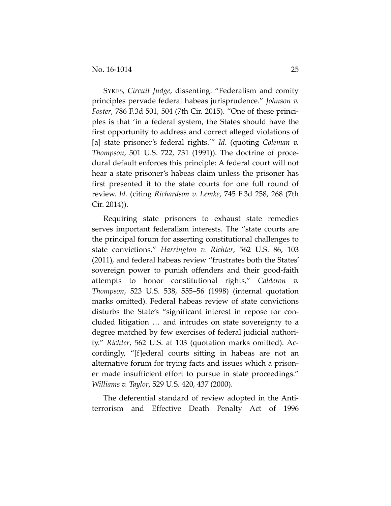SYKES, *Circuit Judge*, dissenting. "Federalism and comity principles pervade federal habeas jurisprudence." *Johnson v. Foster*, 786 F.3d 501, 504 (7th Cir. 2015). "One of these principles is that 'in a federal system, the States should have the first opportunity to address and correct alleged violations of [a] state prisoner's federal rights.'" *Id.* (quoting *Coleman v. Thompson*, 501 U.S. 722, 731 (1991)). The doctrine of procedural default enforces this principle: A federal court will not hear a state prisoner's habeas claim unless the prisoner has first presented it to the state courts for one full round of review. *Id.* (citing *Richardson v. Lemke*, 745 F.3d 258, 268 (7th Cir. 2014)).

Requiring state prisoners to exhaust state remedies serves important federalism interests. The "state courts are the principal forum for asserting constitutional challenges to state convictions," *Harrington v. Richter*, 562 U.S. 86, 103 (2011), and federal habeas review "frustrates both the States' sovereign power to punish offenders and their good-faith attempts to honor constitutional rights," *Calderon v. Thompson*, 523 U.S. 538, 555–56 (1998) (internal quotation marks omitted). Federal habeas review of state convictions disturbs the State's "significant interest in repose for concluded litigation … and intrudes on state sovereignty to a degree matched by few exercises of federal judicial authority." *Richter*, 562 U.S. at 103 (quotation marks omitted). Accordingly, "[f]ederal courts sitting in habeas are not an alternative forum for trying facts and issues which a prisoner made insufficient effort to pursue in state proceedings." *Williams v. Taylor*, 529 U.S. 420, 437 (2000).

The deferential standard of review adopted in the Antiterrorism and Effective Death Penalty Act of 1996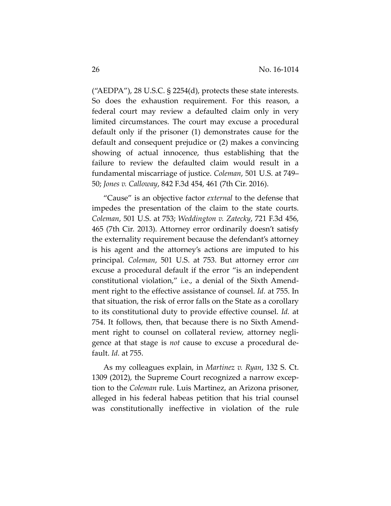("AEDPA"), 28 U.S.C.  $\S$  2254(d), protects these state interests. So does the exhaustion requirement. For this reason, a federal court may review a defaulted claim only in very limited circumstances. The court may excuse a procedural default only if the prisoner (1) demonstrates cause for the default and consequent prejudice or (2) makes a convincing showing of actual innocence, thus establishing that the failure to review the defaulted claim would result in a fundamental miscarriage of justice. *Coleman*, 501 U.S. at 749– 50; *Jones v. Calloway*, 842 F.3d 454, 461 (7th Cir. 2016).

"Cause" is an objective factor *external* to the defense that impedes the presentation of the claim to the state courts. *Coleman*, 501 U.S. at 753; *Weddington v. Zatecky*, 721 F.3d 456, 465 (7th Cir. 2013). Attorney error ordinarily doesn't satisfy the externality requirement because the defendant's attorney is his agent and the attorney's actions are imputed to his principal. *Coleman*, 501 U.S. at 753. But attorney error *can* excuse a procedural default if the error "is an independent constitutional violation," i.e., a denial of the Sixth Amendment right to the effective assistance of counsel. *Id.* at 755. In that situation, the risk of error falls on the State as a corollary to its constitutional duty to provide effective counsel. *Id.* at 754. It follows, then, that because there is no Sixth Amendment right to counsel on collateral review, attorney negligence at that stage is *not* cause to excuse a procedural default. *Id.* at 755.

As my colleagues explain, in *Martinez v. Ryan*, 132 S. Ct. 1309 (2012), the Supreme Court recognized a narrow exception to the *Coleman* rule. Luis Martinez, an Arizona prisoner, alleged in his federal habeas petition that his trial counsel was constitutionally ineffective in violation of the rule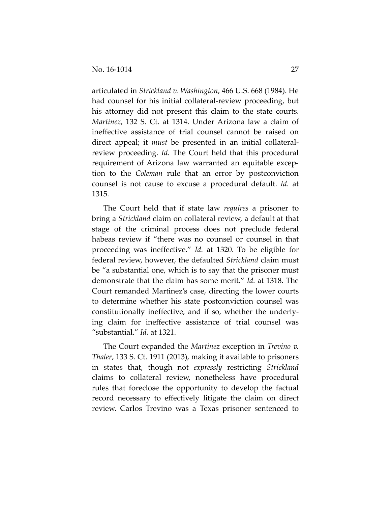articulated in *Strickland v. Washington*, 466 U.S. 668 (1984). He had counsel for his initial collateral-review proceeding, but his attorney did not present this claim to the state courts. *Martinez*, 132 S. Ct. at 1314. Under Arizona law a claim of ineffective assistance of trial counsel cannot be raised on direct appeal; it *must* be presented in an initial collateralreview proceeding. *Id.* The Court held that this procedural requirement of Arizona law warranted an equitable exception to the *Coleman* rule that an error by postconviction counsel is not cause to excuse a procedural default. *Id.* at 1315.

The Court held that if state law *requires* a prisoner to bring a *Strickland* claim on collateral review, a default at that stage of the criminal process does not preclude federal habeas review if "there was no counsel or counsel in that proceeding was ineffective." *Id.* at 1320. To be eligible for federal review, however, the defaulted *Strickland* claim must be "a substantial one, which is to say that the prisoner must demonstrate that the claim has some merit." *Id.* at 1318. The Court remanded Martinez's case, directing the lower courts to determine whether his state postconviction counsel was constitutionally ineffective, and if so, whether the underlying claim for ineffective assistance of trial counsel was "substantial." *Id.* at 1321.

The Court expanded the *Martinez* exception in *Trevino v. Thaler*, 133 S. Ct. 1911 (2013), making it available to prisoners in states that, though not *expressly* restricting *Strickland*  claims to collateral review, nonetheless have procedural rules that foreclose the opportunity to develop the factual record necessary to effectively litigate the claim on direct review. Carlos Trevino was a Texas prisoner sentenced to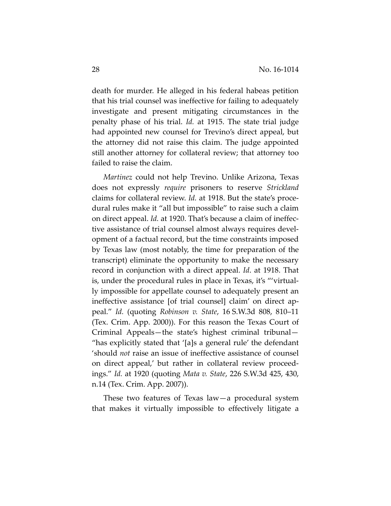death for murder. He alleged in his federal habeas petition that his trial counsel was ineffective for failing to adequately investigate and present mitigating circumstances in the penalty phase of his trial. *Id.* at 1915. The state trial judge had appointed new counsel for Trevino's direct appeal, but the attorney did not raise this claim. The judge appointed still another attorney for collateral review; that attorney too failed to raise the claim.

*Martinez* could not help Trevino. Unlike Arizona, Texas does not expressly *require* prisoners to reserve *Strickland*  claims for collateral review. *Id.* at 1918. But the state's procedural rules make it "all but impossible" to raise such a claim on direct appeal. *Id.* at 1920. That's because a claim of ineffective assistance of trial counsel almost always requires development of a factual record, but the time constraints imposed by Texas law (most notably, the time for preparation of the transcript) eliminate the opportunity to make the necessary record in conjunction with a direct appeal. *Id*. at 1918. That is, under the procedural rules in place in Texas, it's "'virtually impossible for appellate counsel to adequately present an ineffective assistance [of trial counsel] claim' on direct appeal." *Id.* (quoting *Robinson v. State*, 16 S.W.3d 808, 810–11 (Tex. Crim. App. 2000)). For this reason the Texas Court of Criminal Appeals—the state's highest criminal tribunal— "has explicitly stated that '[a]s a general rule' the defendant 'should *not* raise an issue of ineffective assistance of counsel on direct appeal,' but rather in collateral review proceedings." *Id.* at 1920 (quoting *Mata v. State*, 226 S.W.3d 425, 430, n.14 (Tex. Crim. App. 2007)).

These two features of Texas law—a procedural system that makes it virtually impossible to effectively litigate a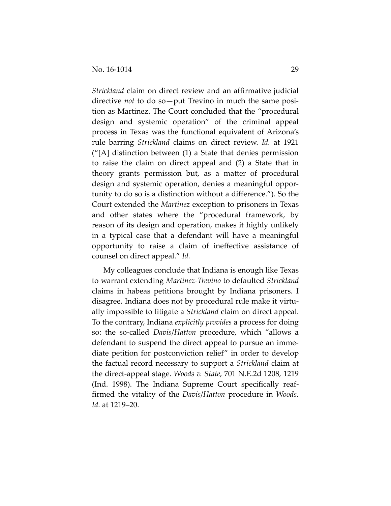*Strickland* claim on direct review and an affirmative judicial directive *not* to do so—put Trevino in much the same position as Martinez. The Court concluded that the "procedural design and systemic operation" of the criminal appeal process in Texas was the functional equivalent of Arizona's rule barring *Strickland* claims on direct review. *Id.* at 1921 ("[A] distinction between (1) a State that denies permission to raise the claim on direct appeal and (2) a State that in theory grants permission but, as a matter of procedural design and systemic operation, denies a meaningful opportunity to do so is a distinction without a difference."). So the Court extended the *Martinez* exception to prisoners in Texas and other states where the "procedural framework, by reason of its design and operation, makes it highly unlikely in a typical case that a defendant will have a meaningful opportunity to raise a claim of ineffective assistance of counsel on direct appeal." *Id.*

My colleagues conclude that Indiana is enough like Texas to warrant extending *Martinez-Trevino* to defaulted *Strickland* claims in habeas petitions brought by Indiana prisoners. I disagree. Indiana does not by procedural rule make it virtually impossible to litigate a *Strickland* claim on direct appeal. To the contrary, Indiana *explicitly provides* a process for doing so: the so-called *Davis*/*Hatton* procedure, which "allows a defendant to suspend the direct appeal to pursue an immediate petition for postconviction relief" in order to develop the factual record necessary to support a *Strickland* claim at the direct-appeal stage. *Woods v. State*, 701 N.E.2d 1208, 1219 (Ind. 1998). The Indiana Supreme Court specifically reaffirmed the vitality of the *Davis*/*Hatton* procedure in *Woods*. *Id.* at 1219–20.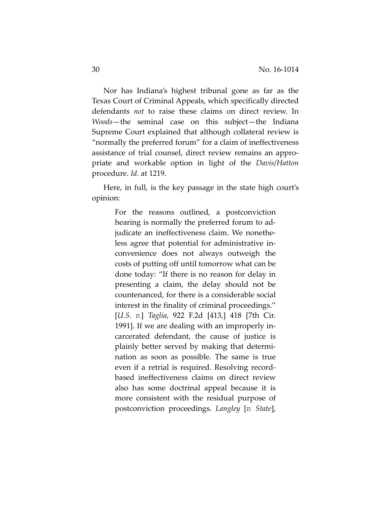Nor has Indiana's highest tribunal gone as far as the Texas Court of Criminal Appeals, which specifically directed defendants *not* to raise these claims on direct review. In *Woods*—the seminal case on this subject—the Indiana Supreme Court explained that although collateral review is "normally the preferred forum" for a claim of ineffectiveness assistance of trial counsel, direct review remains an appropriate and workable option in light of the *Davis*/*Hatton*  procedure. *Id.* at 1219.

Here, in full, is the key passage in the state high court's opinion:

> For the reasons outlined, a postconviction hearing is normally the preferred forum to adjudicate an ineffectiveness claim. We nonetheless agree that potential for administrative inconvenience does not always outweigh the costs of putting off until tomorrow what can be done today: "If there is no reason for delay in presenting a claim, the delay should not be countenanced, for there is a considerable social interest in the finality of criminal proceedings." [*U.S. v.*] *Taglia*, 922 F.2d [413,] 418 [7th Cir. 1991]. If we are dealing with an improperly incarcerated defendant, the cause of justice is plainly better served by making that determination as soon as possible. The same is true even if a retrial is required. Resolving recordbased ineffectiveness claims on direct review also has some doctrinal appeal because it is more consistent with the residual purpose of postconviction proceedings. *Langley* [*v. State*],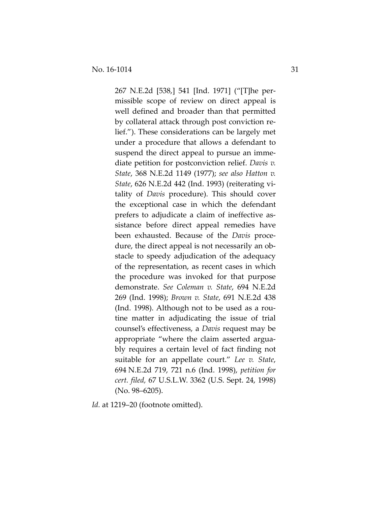267 N.E.2d [538,] 541 [Ind. 1971] ("[T]he permissible scope of review on direct appeal is well defined and broader than that permitted by collateral attack through post conviction relief."). These considerations can be largely met under a procedure that allows a defendant to suspend the direct appeal to pursue an immediate petition for postconviction relief. *Davis v. State*, 368 N.E.2d 1149 (1977); *see also Hatton v. State*, 626 N.E.2d 442 (Ind. 1993) (reiterating vitality of *Davis* procedure). This should cover the exceptional case in which the defendant prefers to adjudicate a claim of ineffective assistance before direct appeal remedies have been exhausted. Because of the *Davis* procedure, the direct appeal is not necessarily an obstacle to speedy adjudication of the adequacy of the representation, as recent cases in which the procedure was invoked for that purpose demonstrate. *See Coleman v. State*, 694 N.E.2d 269 (Ind. 1998); *Brown v. State*, 691 N.E.2d 438 (Ind. 1998). Although not to be used as a routine matter in adjudicating the issue of trial counsel's effectiveness, a *Davis* request may be appropriate "where the claim asserted arguably requires a certain level of fact finding not suitable for an appellate court." *Lee v. State*, 694 N.E.2d 719, 721 n.6 (Ind. 1998), *petition for cert. filed,* 67 U.S.L.W. 3362 (U.S. Sept. 24, 1998) (No. 98–6205).

*Id.* at 1219–20 (footnote omitted).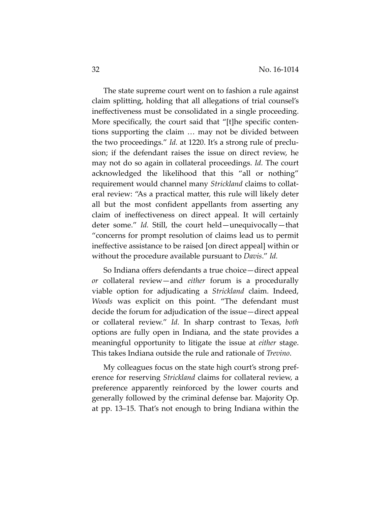The state supreme court went on to fashion a rule against claim splitting, holding that all allegations of trial counsel's ineffectiveness must be consolidated in a single proceeding. More specifically, the court said that "[t]he specific contentions supporting the claim … may not be divided between the two proceedings." *Id.* at 1220. It's a strong rule of preclusion; if the defendant raises the issue on direct review, he may not do so again in collateral proceedings. *Id.* The court acknowledged the likelihood that this "all or nothing" requirement would channel many *Strickland* claims to collateral review: "As a practical matter, this rule will likely deter all but the most confident appellants from asserting any claim of ineffectiveness on direct appeal. It will certainly deter some." *Id.* Still, the court held—unequivocally—that "concerns for prompt resolution of claims lead us to permit ineffective assistance to be raised [on direct appeal] within or without the procedure available pursuant to *Davis*." *Id.*

So Indiana offers defendants a true choice—direct appeal *or* collateral review—and *either* forum is a procedurally viable option for adjudicating a *Strickland* claim. Indeed, *Woods* was explicit on this point. "The defendant must decide the forum for adjudication of the issue—direct appeal or collateral review." *Id.* In sharp contrast to Texas, *both* options are fully open in Indiana, and the state provides a meaningful opportunity to litigate the issue at *either* stage. This takes Indiana outside the rule and rationale of *Trevino*.

My colleagues focus on the state high court's strong preference for reserving *Strickland* claims for collateral review, a preference apparently reinforced by the lower courts and generally followed by the criminal defense bar. Majority Op. at pp. 13–15. That's not enough to bring Indiana within the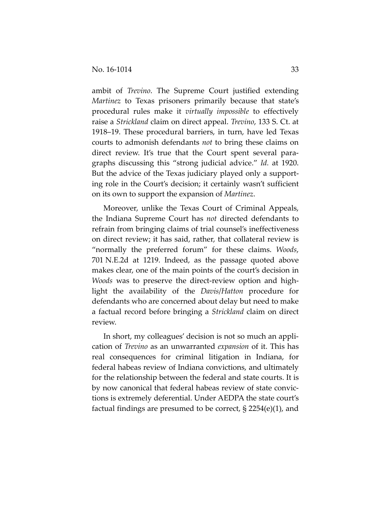ambit of *Trevino*. The Supreme Court justified extending *Martinez* to Texas prisoners primarily because that state's procedural rules make it *virtually impossible* to effectively raise a *Strickland* claim on direct appeal. *Trevino*, 133 S. Ct. at 1918–19. These procedural barriers, in turn, have led Texas courts to admonish defendants *not* to bring these claims on direct review. It's true that the Court spent several paragraphs discussing this "strong judicial advice." *Id.* at 1920. But the advice of the Texas judiciary played only a supporting role in the Court's decision; it certainly wasn't sufficient on its own to support the expansion of *Martinez*.

Moreover, unlike the Texas Court of Criminal Appeals, the Indiana Supreme Court has *not* directed defendants to refrain from bringing claims of trial counsel's ineffectiveness on direct review; it has said, rather, that collateral review is "normally the preferred forum" for these claims. *Woods*, 701 N.E.2d at 1219. Indeed, as the passage quoted above makes clear, one of the main points of the court's decision in *Woods* was to preserve the direct-review option and highlight the availability of the *Davis*/*Hatton* procedure for defendants who are concerned about delay but need to make a factual record before bringing a *Strickland* claim on direct review.

In short, my colleagues' decision is not so much an application of *Trevino* as an unwarranted *expansion* of it. This has real consequences for criminal litigation in Indiana, for federal habeas review of Indiana convictions, and ultimately for the relationship between the federal and state courts. It is by now canonical that federal habeas review of state convictions is extremely deferential. Under AEDPA the state court's factual findings are presumed to be correct, § 2254(e)(1), and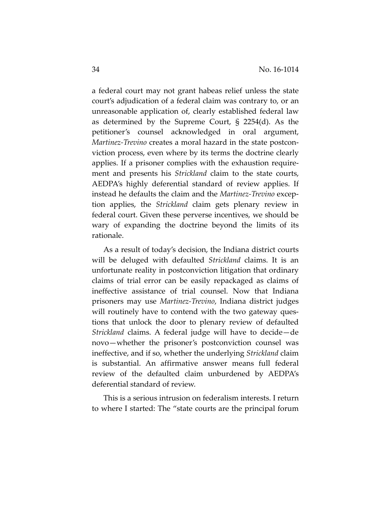a federal court may not grant habeas relief unless the state court's adjudication of a federal claim was contrary to, or an unreasonable application of, clearly established federal law as determined by the Supreme Court, § 2254(d). As the petitioner's counsel acknowledged in oral argument, *Martinez-Trevino* creates a moral hazard in the state postconviction process, even where by its terms the doctrine clearly applies. If a prisoner complies with the exhaustion requirement and presents his *Strickland* claim to the state courts, AEDPA's highly deferential standard of review applies. If instead he defaults the claim and the *Martinez-Trevino* exception applies, the *Strickland* claim gets plenary review in federal court. Given these perverse incentives, we should be wary of expanding the doctrine beyond the limits of its rationale.

As a result of today's decision, the Indiana district courts will be deluged with defaulted *Strickland* claims. It is an unfortunate reality in postconviction litigation that ordinary claims of trial error can be easily repackaged as claims of ineffective assistance of trial counsel. Now that Indiana prisoners may use *Martinez-Trevino*, Indiana district judges will routinely have to contend with the two gateway questions that unlock the door to plenary review of defaulted *Strickland* claims. A federal judge will have to decide—de novo—whether the prisoner's postconviction counsel was ineffective, and if so, whether the underlying *Strickland* claim is substantial. An affirmative answer means full federal review of the defaulted claim unburdened by AEDPA's deferential standard of review.

This is a serious intrusion on federalism interests. I return to where I started: The "state courts are the principal forum